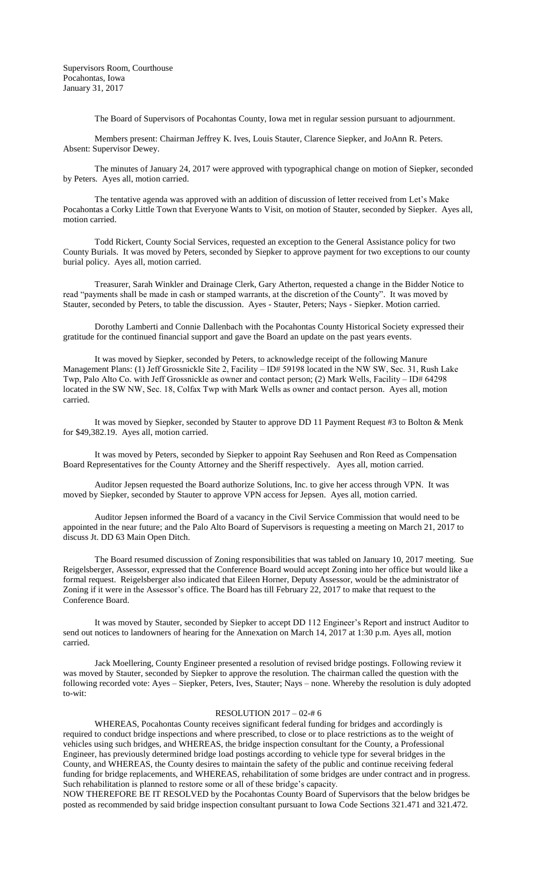Supervisors Room, Courthouse Pocahontas, Iowa January 31, 2017

The Board of Supervisors of Pocahontas County, Iowa met in regular session pursuant to adjournment.

Members present: Chairman Jeffrey K. Ives, Louis Stauter, Clarence Siepker, and JoAnn R. Peters. Absent: Supervisor Dewey.

The minutes of January 24, 2017 were approved with typographical change on motion of Siepker, seconded by Peters. Ayes all, motion carried.

The tentative agenda was approved with an addition of discussion of letter received from Let's Make Pocahontas a Corky Little Town that Everyone Wants to Visit, on motion of Stauter, seconded by Siepker. Ayes all, motion carried.

Todd Rickert, County Social Services, requested an exception to the General Assistance policy for two County Burials. It was moved by Peters, seconded by Siepker to approve payment for two exceptions to our county burial policy. Ayes all, motion carried.

Treasurer, Sarah Winkler and Drainage Clerk, Gary Atherton, requested a change in the Bidder Notice to read "payments shall be made in cash or stamped warrants, at the discretion of the County". It was moved by Stauter, seconded by Peters, to table the discussion. Ayes - Stauter, Peters; Nays - Siepker. Motion carried.

Dorothy Lamberti and Connie Dallenbach with the Pocahontas County Historical Society expressed their gratitude for the continued financial support and gave the Board an update on the past years events.

It was moved by Siepker, seconded by Peters, to acknowledge receipt of the following Manure Management Plans: (1) Jeff Grossnickle Site 2, Facility – ID# 59198 located in the NW SW, Sec. 31, Rush Lake Twp, Palo Alto Co. with Jeff Grossnickle as owner and contact person; (2) Mark Wells, Facility – ID# 64298 located in the SW NW, Sec. 18, Colfax Twp with Mark Wells as owner and contact person. Ayes all, motion carried.

It was moved by Siepker, seconded by Stauter to approve DD 11 Payment Request #3 to Bolton & Menk for \$49,382.19. Ayes all, motion carried.

It was moved by Peters, seconded by Siepker to appoint Ray Seehusen and Ron Reed as Compensation Board Representatives for the County Attorney and the Sheriff respectively. Ayes all, motion carried.

Auditor Jepsen requested the Board authorize Solutions, Inc. to give her access through VPN. It was moved by Siepker, seconded by Stauter to approve VPN access for Jepsen. Ayes all, motion carried.

Auditor Jepsen informed the Board of a vacancy in the Civil Service Commission that would need to be appointed in the near future; and the Palo Alto Board of Supervisors is requesting a meeting on March 21, 2017 to discuss Jt. DD 63 Main Open Ditch.

The Board resumed discussion of Zoning responsibilities that was tabled on January 10, 2017 meeting. Sue Reigelsberger, Assessor, expressed that the Conference Board would accept Zoning into her office but would like a formal request. Reigelsberger also indicated that Eileen Horner, Deputy Assessor, would be the administrator of Zoning if it were in the Assessor's office. The Board has till February 22, 2017 to make that request to the Conference Board.

It was moved by Stauter, seconded by Siepker to accept DD 112 Engineer's Report and instruct Auditor to send out notices to landowners of hearing for the Annexation on March 14, 2017 at 1:30 p.m. Ayes all, motion carried.

Jack Moellering, County Engineer presented a resolution of revised bridge postings. Following review it was moved by Stauter, seconded by Siepker to approve the resolution. The chairman called the question with the following recorded vote: Ayes – Siepker, Peters, Ives, Stauter; Nays – none. Whereby the resolution is duly adopted to-wit:

## RESOLUTION 2017 – 02-# 6

WHEREAS, Pocahontas County receives significant federal funding for bridges and accordingly is required to conduct bridge inspections and where prescribed, to close or to place restrictions as to the weight of vehicles using such bridges, and WHEREAS, the bridge inspection consultant for the County, a Professional Engineer, has previously determined bridge load postings according to vehicle type for several bridges in the County, and WHEREAS, the County desires to maintain the safety of the public and continue receiving federal funding for bridge replacements, and WHEREAS, rehabilitation of some bridges are under contract and in progress. Such rehabilitation is planned to restore some or all of these bridge's capacity.

NOW THEREFORE BE IT RESOLVED by the Pocahontas County Board of Supervisors that the below bridges be posted as recommended by said bridge inspection consultant pursuant to Iowa Code Sections 321.471 and 321.472.